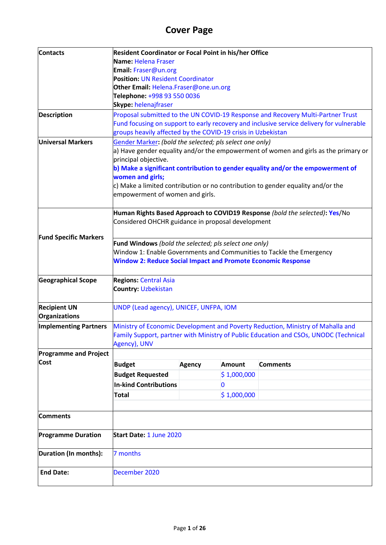# **Cover Page**

| <b>Contacts</b>              | Resident Coordinator or Focal Point in his/her Office               |               |             |                                                                                          |  |  |
|------------------------------|---------------------------------------------------------------------|---------------|-------------|------------------------------------------------------------------------------------------|--|--|
|                              | Name: Helena Fraser                                                 |               |             |                                                                                          |  |  |
|                              | Email: Fraser@un.org                                                |               |             |                                                                                          |  |  |
|                              | <b>Position: UN Resident Coordinator</b>                            |               |             |                                                                                          |  |  |
|                              | Other Email: Helena.Fraser@one.un.org                               |               |             |                                                                                          |  |  |
|                              | Telephone: +998 93 550 0036                                         |               |             |                                                                                          |  |  |
|                              | Skype: helenajfraser                                                |               |             |                                                                                          |  |  |
| <b>Description</b>           |                                                                     |               |             | Proposal submitted to the UN COVID-19 Response and Recovery Multi-Partner Trust          |  |  |
|                              |                                                                     |               |             | Fund focusing on support to early recovery and inclusive service delivery for vulnerable |  |  |
|                              | groups heavily affected by the COVID-19 crisis in Uzbekistan        |               |             |                                                                                          |  |  |
| <b>Universal Markers</b>     | Gender Marker: (bold the selected; pls select one only)             |               |             |                                                                                          |  |  |
|                              |                                                                     |               |             | a) Have gender equality and/or the empowerment of women and girls as the primary or      |  |  |
|                              | principal objective.                                                |               |             |                                                                                          |  |  |
|                              |                                                                     |               |             | b) Make a significant contribution to gender equality and/or the empowerment of          |  |  |
|                              | women and girls;                                                    |               |             |                                                                                          |  |  |
|                              |                                                                     |               |             | c) Make a limited contribution or no contribution to gender equality and/or the          |  |  |
|                              | empowerment of women and girls.                                     |               |             |                                                                                          |  |  |
|                              |                                                                     |               |             |                                                                                          |  |  |
|                              |                                                                     |               |             | Human Rights Based Approach to COVID19 Response (bold the selected): Yes/No              |  |  |
|                              | Considered OHCHR guidance in proposal development                   |               |             |                                                                                          |  |  |
|                              |                                                                     |               |             |                                                                                          |  |  |
| <b>Fund Specific Markers</b> | Fund Windows (bold the selected; pls select one only)               |               |             |                                                                                          |  |  |
|                              |                                                                     |               |             | Window 1: Enable Governments and Communities to Tackle the Emergency                     |  |  |
|                              | <b>Window 2: Reduce Social Impact and Promote Economic Response</b> |               |             |                                                                                          |  |  |
|                              |                                                                     |               |             |                                                                                          |  |  |
| <b>Geographical Scope</b>    | <b>Regions: Central Asia</b>                                        |               |             |                                                                                          |  |  |
|                              | <b>Country: Uzbekistan</b>                                          |               |             |                                                                                          |  |  |
|                              |                                                                     |               |             |                                                                                          |  |  |
| <b>Recipient UN</b>          | UNDP (Lead agency), UNICEF, UNFPA, IOM                              |               |             |                                                                                          |  |  |
| Organizations                |                                                                     |               |             |                                                                                          |  |  |
| <b>Implementing Partners</b> |                                                                     |               |             | Ministry of Economic Development and Poverty Reduction, Ministry of Mahalla and          |  |  |
|                              |                                                                     |               |             | Family Support, partner with Ministry of Public Education and CSOs, UNODC (Technical     |  |  |
|                              | Agency), UNV                                                        |               |             |                                                                                          |  |  |
| <b>Programme and Project</b> |                                                                     |               |             |                                                                                          |  |  |
| <b>Cost</b>                  | <b>Budget</b>                                                       | <b>Agency</b> | Amount      | <b>Comments</b>                                                                          |  |  |
|                              | <b>Budget Requested</b>                                             |               | \$1,000,000 |                                                                                          |  |  |
|                              | <b>In-kind Contributions</b>                                        |               | 0           |                                                                                          |  |  |
|                              |                                                                     |               |             |                                                                                          |  |  |
|                              | <b>Total</b>                                                        |               | \$1,000,000 |                                                                                          |  |  |
|                              |                                                                     |               |             |                                                                                          |  |  |
| <b>Comments</b>              |                                                                     |               |             |                                                                                          |  |  |
|                              |                                                                     |               |             |                                                                                          |  |  |
| <b>Programme Duration</b>    | Start Date: 1 June 2020                                             |               |             |                                                                                          |  |  |
|                              |                                                                     |               |             |                                                                                          |  |  |
| Duration (In months):        | 7 months                                                            |               |             |                                                                                          |  |  |
|                              |                                                                     |               |             |                                                                                          |  |  |
| <b>End Date:</b>             | December 2020                                                       |               |             |                                                                                          |  |  |
|                              |                                                                     |               |             |                                                                                          |  |  |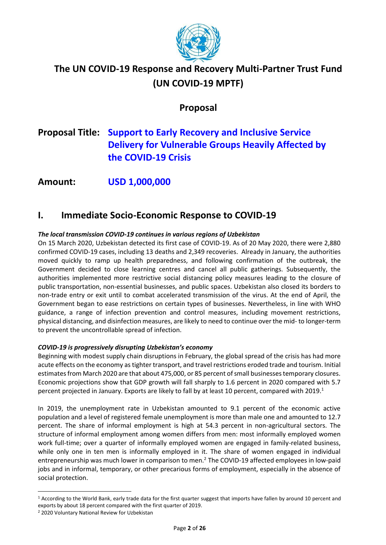

# **The UN COVID-19 Response and Recovery Multi-Partner Trust Fund (UN COVID-19 MPTF)**

### **Proposal**

# **Proposal Title: Support to Early Recovery and Inclusive Service Delivery for Vulnerable Groups Heavily Affected by the COVID-19 Crisis**

**Amount: USD 1,000,000**

### **I. Immediate Socio-Economic Response to COVID-19**

#### *The local transmission COVID-19 continues in various regions of Uzbekistan*

On 15 March 2020, Uzbekistan detected its first case of COVID-19. As of 20 May 2020, there were 2,880 confirmed COVID-19 cases, including 13 deaths and 2,349 recoveries. Already in January, the authorities moved quickly to ramp up health preparedness, and following confirmation of the outbreak, the Government decided to close learning centres and cancel all public gatherings. Subsequently, the authorities implemented more restrictive social distancing policy measures leading to the closure of public transportation, non-essential businesses, and public spaces. Uzbekistan also closed its borders to non-trade entry or exit until to combat accelerated transmission of the virus. At the end of April, the Government began to ease restrictions on certain types of businesses. Nevertheless, in line with WHO guidance, a range of infection prevention and control measures, including movement restrictions, physical distancing, and disinfection measures, are likely to need to continue over the mid- to longer-term to prevent the uncontrollable spread of infection.

#### *COVID-19 is progressively disrupting Uzbekistan's economy*

Beginning with modest supply chain disruptions in February, the global spread of the crisis has had more acute effects on the economy as tighter transport, and travel restrictions eroded trade and tourism. Initial estimates from March 2020 are that about 475,000, or 85 percent of small businesses temporary closures. Economic projections show that GDP growth will fall sharply to 1.6 percent in 2020 compared with 5.7 percent projected in January. Exports are likely to fall by at least 10 percent, compared with 2019.<sup>1</sup>

In 2019, the unemployment rate in Uzbekistan amounted to 9.1 percent of the economic active population and a level of registered female unemployment is more than male one and amounted to 12.7 percent. The share of informal employment is high at 54.3 percent in non-agricultural sectors. The structure of informal employment among women differs from men: most informally employed women work full-time; over a quarter of informally employed women are engaged in family-related business, while only one in ten men is informally employed in it. The share of women engaged in individual entrepreneurship was much lower in comparison to men.<sup>2</sup> The COVID-19 affected employees in low-paid jobs and in informal, temporary, or other precarious forms of employment, especially in the absence of social protection.

<sup>1</sup> According to the World Bank, early trade data for the first quarter suggest that imports have fallen by around 10 percent and exports by about 18 percent compared with the first quarter of 2019.

<sup>2</sup> 2020 Voluntary National Review for Uzbekistan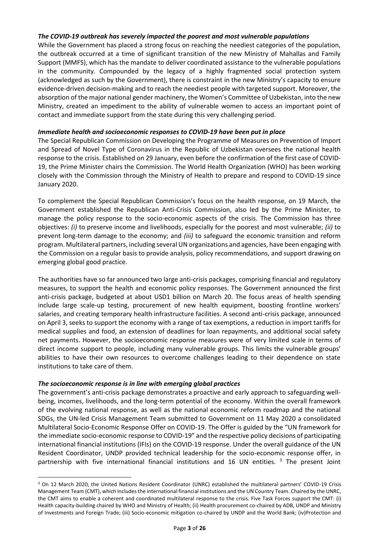#### *The COVID-19 outbreak has severely impacted the poorest and most vulnerable populations*

While the Government has placed a strong focus on reaching the neediest categories of the population, the outbreak occurred at a time of significant transition of the new Ministry of Mahallas and Family Support (MMFS), which has the mandate to deliver coordinated assistance to the vulnerable populations in the community. Compounded by the legacy of a highly fragmented social protection system (acknowledged as such by the Government), there is constraint in the new Ministry's capacity to ensure evidence-driven decision-making and to reach the neediest people with targeted support. Moreover, the absorption of the major national gender machinery, the Women's Committee of Uzbekistan, into the new Ministry, created an impediment to the ability of vulnerable women to access an important point of contact and immediate support from the state during this very challenging period.

#### *Immediate health and socioeconomic responses to COVID-19 have been put in place*

The Special Republican Commission on Developing the Programme of Measures on Prevention of Import and Spread of Novel Type of Coronavirus in the Republic of Uzbekistan oversees the national health response to the crisis. Established on 29 January, even before the confirmation of the first case of COVID-19, the Prime Minister chairs the Commission. The World Health Organization (WHO) has been working closely with the Commission through the Ministry of Health to prepare and respond to COVID-19 since January 2020.

To complement the Special Republican Commission's focus on the health response, on 19 March, the Government established the Republican Anti-Crisis Commission, also led by the Prime Minister, to manage the policy response to the socio-economic aspects of the crisis. The Commission has three objectives: *(i)* to preserve income and livelihoods, especially for the poorest and most vulnerable; *(ii)* to prevent long-term damage to the economy; and *(iii)* to safeguard the economic transition and reform program. Multilateral partners, including several UN organizations and agencies, have been engaging with the Commission on a regular basis to provide analysis, policy recommendations, and support drawing on emerging global good practice.

The authorities have so far announced two large anti-crisis packages, comprising financial and regulatory measures, to support the health and economic policy responses. The Government announced the first anti-crisis package, budgeted at about USD1 billion on March 20. The focus areas of health spending include large scale-up testing, procurement of new health equipment, boosting frontline workers' salaries, and creating temporary health infrastructure facilities. A second anti-crisis package, announced on April 3, seeks to support the economy with a range of tax exemptions, a reduction in import tariffs for medical supplies and food, an extension of deadlines for loan repayments, and additional social safety net payments. However, the socioeconomic response measures were of very limited scale in terms of direct income support to people, including many vulnerable groups. This limits the vulnerable groups' abilities to have their own resources to overcome challenges leading to their dependence on state institutions to take care of them.

#### *The socioeconomic response is in line with emerging global practices*

The government's anti-crisis package demonstrates a proactive and early approach to safeguarding wellbeing, incomes, livelihoods, and the long-term potential of the economy. Within the overall framework of the evolving national response, as well as the national economic reform roadmap and the national SDGs, the UN-led Crisis Management Team submitted to Government on 11 May 2020 a consolidated Multilateral Socio-Economic Response Offer on COVID-19. The Offer is guided by the "UN framework for the immediate socio-economic response to COVID-19" and the respective policy decisions of participating international financial institutions (IFIs) on the COVID-19 response. Under the overall guidance of the UN Resident Coordinator, UNDP provided technical leadership for the socio-economic response offer, in partnership with five international financial institutions and 16 UN entities. <sup>3</sup> The present Joint

<sup>3</sup> On 12 March 2020, the United Nations Resident Coordinator (UNRC) established the multilateral partners' COVID-19 Crisis Management Team (CMT), which includes the international financial institutions and the UN Country Team. Chaired by the UNRC, the CMT aims to enable a coherent and coordinated multilateral response to the crisis. Five Task Forces support the CMT: (i) Health capacity-building chaired by WHO and Ministry of Health; (ii) Health procurement co-chaired by ADB, UNDP and Ministry of Investments and Foreign Trade; (iii) Socio-economic mitigation co-chaired by UNDP and the World Bank; (iv)Protection and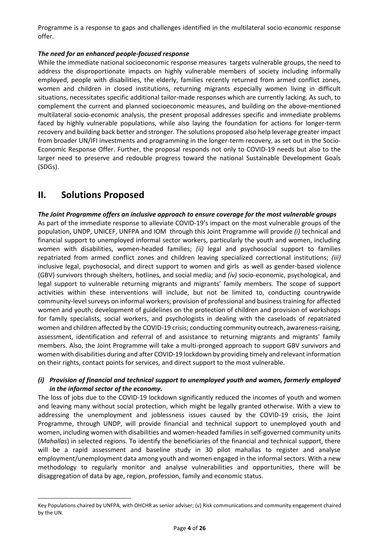Programme is a response to gaps and challenges identified in the multilateral socio-economic response offer.

#### *The need for an enhanced people-focused response*

While the immediate national socioeconomic response measures targets vulnerable groups, the need to address the disproportionate impacts on highly vulnerable members of society including informally employed, people with disabilities, the elderly, families recently returned from armed conflict zones, women and children in closed institutions, returning migrants especially women living in difficult situations, necessitates specific additional tailor-made responses which are currently lacking. As such, to complement the current and planned socioeconomic measures, and building on the above-mentioned multilateral socio-economic analysis, the present proposal addresses specific and immediate problems faced by highly vulnerable populations, while also laying the foundation for actions for longer-term recovery and building back better and stronger. The solutions proposed also help leverage greater impact from broader UN/IFI investments and programming in the longer-term recovery, as set out in the Socio-Economic Response Offer. Further, the proposal responds not only to COVID-19 needs but also to the larger need to preserve and redouble progress toward the national Sustainable Development Goals (SDGs).

### **II. Solutions Proposed**

*The Joint Programme offers an inclusive approach to ensure coverage for the most vulnerable groups* As part of the immediate response to alleviate COVID-19's impact on the most vulnerable groups of the population, UNDP, UNICEF, UNFPA and IOM through this Joint Programme will provide *(i)* technical and financial support to unemployed informal sector workers, particularly the youth and women, including women with disabilities, women-headed families; *(ii)* legal and psychosocial support to families repatriated from armed conflict zones and children leaving specialized correctional institutions; *(iii)* inclusive legal, psychosocial, and direct support to women and girls as well as gender-based violence (GBV) survivors through shelters, hotlines, and social media; and *(iv)* socio-economic, psychological, and legal support to vulnerable returning migrants and migrants' family members. The scope of support activities within these interventions will include, but not be limited to, conducting countrywide community-level surveys on informal workers; provision of professional and business training for affected women and youth; development of guidelines on the protection of children and provision of workshops for family specialists, social workers, and psychologists in dealing with the caseloads of repatriated women and children affected by the COVID-19 crisis; conducting community outreach, awareness-raising, assessment, identification and referral of and assistance to returning migrants and migrants' family members. Also, the Joint Programme will take a multi-pronged approach to support GBV survivors and women with disabilities during and after COVID-19 lockdown by providing timely and relevant information on their rights, contact points for services, and direct support to the most vulnerable.

#### *(i) Provision of financial and technical support to unemployed youth and women, formerly employed in the informal sector of the economy.*

The loss of jobs due to the COVID-19 lockdown significantly reduced the incomes of youth and women and leaving many without social protection, which might be legally granted otherwise. With a view to addressing the unemployment and joblessness issues caused by the COVID-19 crisis, the Joint Programme, through UNDP, will provide financial and technical support to unemployed youth and women, including women with disabilities and women-headed families in self-governed community units (*Mahallas*) in selected regions. To identify the beneficiaries of the financial and technical support, there will be a rapid assessment and baseline study in 30 pilot mahallas to register and analyse employment/unemployment data among youth and women engaged in the informal sectors. With a new methodology to regularly monitor and analyse vulnerabilities and opportunities, there will be disaggregation of data by age, region, profession, family and economic status.

Key Populations chaired by UNFPA, with OHCHR as senior adviser; (v) Risk communications and community engagement chaired by the UN.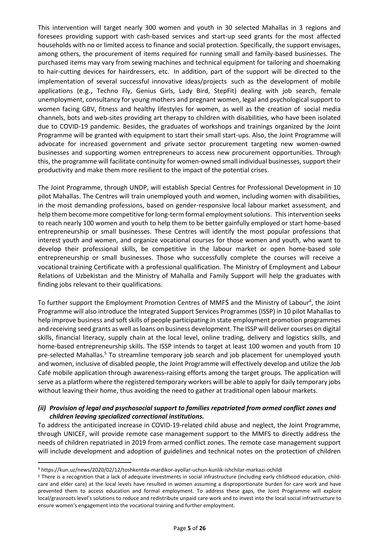This intervention will target nearly 300 women and youth in 30 selected Mahallas in 3 regions and foresees providing support with cash-based services and start-up seed grants for the most affected households with no or limited access to finance and social protection. Specifically, the support envisages, among others, the procurement of items required for running small and family-based businesses. The purchased items may vary from sewing machines and technical equipment for tailoring and shoemaking to hair-cutting devices for hairdressers, etc. In addition, part of the support will be directed to the implementation of several successful innovative ideas/projects such as the development of mobile applications (e.g., Techno Fly, Genius Girls, Lady Bird, StepFit) dealing with job search, female unemployment, consultancy for young mothers and pregnant women, legal and psychological support to women facing GBV, fitness and healthy lifestyles for women, as well as the creation of social media channels, bots and web-sites providing art therapy to children with disabilities, who have been isolated due to COVID-19 pandemic. Besides, the graduates of workshops and trainings organized by the Joint Programme will be granted with equipment to start their small start-ups. Also, the Joint Programme will advocate for increased government and private sector procurement targeting new women-owned businesses and supporting women entrepreneurs to access new procurement opportunities. Through this, the programme will facilitate continuity for women-owned small individual businesses, support their productivity and make them more resilient to the impact of the potential crises.

The Joint Programme, through UNDP, will establish Special Centres for Professional Development in 10 pilot Mahallas. The Centres will train unemployed youth and women, including women with disabilities, in the most demanding professions, based on gender-responsive local labour market assessment, and help them become more competitive for long-term formal employment solutions. This intervention seeks to reach nearly 100 women and youth to help them to be better gainfully employed or start home-based entrepreneurship or small businesses. These Centres will identify the most popular professions that interest youth and women, and organize vocational courses for those women and youth, who want to develop their professional skills, be competitive in the labour market or open home-based sole entrepreneurship or small businesses. Those who successfully complete the courses will receive a vocational training Certificate with a professional qualification. The Ministry of Employment and Labour Relations of Uzbekistan and the Ministry of Mahalla and Family Support will help the graduates with finding jobs relevant to their qualifications.

To further support the Employment Promotion Centres of MMFS and the Ministry of Labour<sup>4</sup>, the Joint Programme will also introduce the Integrated Support Services Programmes (ISSP) in 10 pilot Mahallas to help improve business and soft skills of people participating in state employment promotion programmes and receiving seed grants as well as loans on business development. The ISSP will deliver courses on digital skills, financial literacy, supply chain at the local level, online trading, delivery and logistics skills, and home-based entrepreneurship skills. The ISSP intends to target at least 100 women and youth from 10 pre-selected Mahallas.<sup>5</sup> To streamline temporary job search and job placement for unemployed youth and women, inclusive of disabled people, the Joint Programme will effectively develop and utilize the Job Café mobile application through awareness-raising efforts among the target groups. The application will serve as a platform where the registered temporary workers will be able to apply for daily temporary jobs without leaving their home, thus avoiding the need to gather at traditional open labour markets.

#### *(ii) Provision of legal and psychosocial support to families repatriated from armed conflict zones and children leaving specialized correctional institutions.*

To address the anticipated increase in COVID-19-related child abuse and neglect, the Joint Programme, through UNICEF, will provide remote case management support to the MMFS to directly address the needs of children repatriated in 2019 from armed conflict zones. The remote case management support will include development and adoption of guidelines and technical notes on the protection of children

<sup>4</sup> <https://kun.uz/news/2020/02/12/toshkentda-mardikor-ayollar-uchun-kunlik-ishchilar-markazi-ochildi>

<sup>5</sup> There is a recognition that a lack of adequate investments in social infrastructure (including early childhood education, childcare and elder care) at the local levels have resulted in women assuming a disproportionate burden for care work and have prevented them to access education and formal employment. To address these gaps, the Joint Programme will explore local/grassroots level's solutions to reduce and redistribute unpaid care work and to invest into the local social infrastructure to ensure women's engagement into the vocational training and further employment.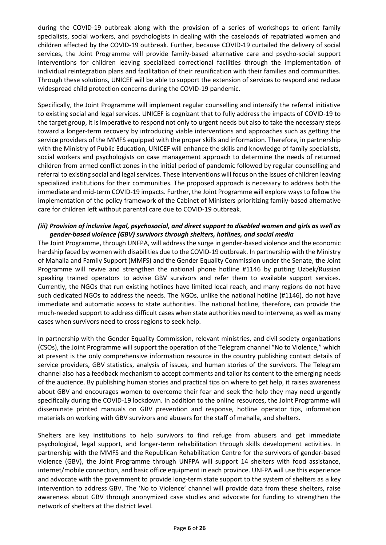during the COVID-19 outbreak along with the provision of a series of workshops to orient family specialists, social workers, and psychologists in dealing with the caseloads of repatriated women and children affected by the COVID-19 outbreak. Further, because COVID-19 curtailed the delivery of social services, the Joint Programme will provide family-based alternative care and psycho-social support interventions for children leaving specialized correctional facilities through the implementation of individual reintegration plans and facilitation of their reunification with their families and communities. Through these solutions, UNICEF will be able to support the extension of services to respond and reduce widespread child protection concerns during the COVID-19 pandemic.

Specifically, the Joint Programme will implement regular counselling and intensify the referral initiative to existing social and legal services. UNICEF is cognizant that to fully address the impacts of COVID-19 to the target group, it is imperative to respond not only to urgent needs but also to take the necessary steps toward a longer-term recovery by introducing viable interventions and approaches such as getting the service providers of the MMFS equipped with the proper skills and information. Therefore, in partnership with the Ministry of Public Education, UNICEF will enhance the skills and knowledge of family specialists, social workers and psychologists on case management approach to determine the needs of returned children from armed conflict zones in the initial period of pandemic followed by regular counselling and referral to existing social and legal services. These interventions will focus on the issues of children leaving specialized institutions for their communities. The proposed approach is necessary to address both the immediate and mid-term COVID-19 impacts. Further, the Joint Programme will explore ways to follow the implementation of the policy framework of the Cabinet of Ministers prioritizing family-based alternative care for children left without parental care due to COVID-19 outbreak.

#### *(iii) Provision of inclusive legal, psychosocial, and direct support to disabled women and girls as well as gender-based violence (GBV) survivors through shelters, hotlines, and social media*

The Joint Programme, through UNFPA, will address the surge in gender-based violence and the economic hardship faced by women with disabilities due to the COVID-19 outbreak. In partnership with the Ministry of Mahalla and Family Support (MMFS) and the Gender Equality Commission under the Senate, the Joint Programme will revive and strengthen the national phone hotline #1146 by putting Uzbek/Russian speaking trained operators to advise GBV survivors and refer them to available support services. Currently, the NGOs that run existing hotlines have limited local reach, and many regions do not have such dedicated NGOs to address the needs. The NGOs, unlike the national hotline (#1146), do not have immediate and automatic access to state authorities. The national hotline, therefore, can provide the much-needed support to address difficult cases when state authorities need to intervene, as well as many cases when survivors need to cross regions to seek help.

In partnership with the Gender Equality Commission, relevant ministries, and civil society organizations (CSOs), the Joint Programme will support the operation of the Telegram channel "No to Violence," which at present is the only comprehensive information resource in the country publishing contact details of service providers, GBV statistics, analysis of issues, and human stories of the survivors. The Telegram channel also has a feedback mechanism to accept comments and tailor its content to the emerging needs of the audience. By publishing human stories and practical tips on where to get help, it raises awareness about GBV and encourages women to overcome their fear and seek the help they may need urgently specifically during the COVID-19 lockdown. In addition to the online resources, the Joint Programme will disseminate printed manuals on GBV prevention and response, hotline operator tips, information materials on working with GBV survivors and abusers for the staff of mahalla, and shelters.

Shelters are key institutions to help survivors to find refuge from abusers and get immediate psychological, legal support, and longer-term rehabilitation through skills development activities. In partnership with the MMFS and the Republican Rehabilitation Centre for the survivors of gender-based violence (GBV), the Joint Programme through UNFPA will support 14 shelters with food assistance, internet/mobile connection, and basic office equipment in each province. UNFPA will use this experience and advocate with the government to provide long-term state support to the system of shelters as a key intervention to address GBV. The 'No to Violence' channel will provide data from these shelters, raise awareness about GBV through anonymized case studies and advocate for funding to strengthen the network of shelters at the district level.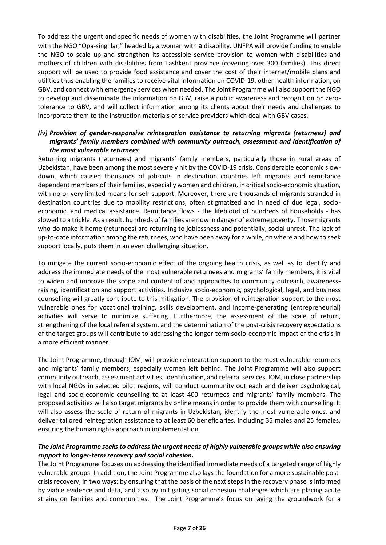To address the urgent and specific needs of women with disabilities, the Joint Programme will partner with the NGO "Opa-singillar," headed by a woman with a disability. UNFPA will provide funding to enable the NGO to scale up and strengthen its accessible service provision to women with disabilities and mothers of children with disabilities from Tashkent province (covering over 300 families). This direct support will be used to provide food assistance and cover the cost of their internet/mobile plans and utilities thus enabling the families to receive vital information on COVID-19, other health information, on GBV, and connect with emergency services when needed. The Joint Programme will also support the NGO to develop and disseminate the information on GBV, raise a public awareness and recognition on zerotolerance to GBV, and will collect information among its clients about their needs and challenges to incorporate them to the instruction materials of service providers which deal with GBV cases.

#### *(iv) Provision of gender-responsive reintegration assistance to returning migrants (returnees) and migrants' family members combined with community outreach, assessment and identification of the most vulnerable returnees*

Returning migrants (returnees) and migrants' family members, particularly those in rural areas of Uzbekistan, have been among the most severely hit by the COVID-19 crisis. Considerable economic slowdown, which caused thousands of job-cuts in destination countries left migrants and remittance dependent members of their families, especially women and children, in critical socio-economic situation, with no or very limited means for self-support. Moreover, there are thousands of migrants stranded in destination countries due to mobility restrictions, often stigmatized and in need of due legal, socioeconomic, and medical assistance. Remittance flows - the lifeblood of hundreds of households - has slowed to a trickle. As a result, hundreds of families are now in danger of extreme poverty. Those migrants who do make it home (returnees) are returning to joblessness and potentially, social unrest. The lack of up-to-date information among the returnees, who have been away for a while, on where and how to seek support locally, puts them in an even challenging situation.

To mitigate the current socio-economic effect of the ongoing health crisis, as well as to identify and address the immediate needs of the most vulnerable returnees and migrants' family members, it is vital to widen and improve the scope and content of and approaches to community outreach, awarenessraising, identification and support activities. Inclusive socio-economic, psychological, legal, and business counselling will greatly contribute to this mitigation. The provision of reintegration support to the most vulnerable ones for vocational training, skills development, and income-generating (entrepreneurial) activities will serve to minimize suffering. Furthermore, the assessment of the scale of return, strengthening of the local referral system, and the determination of the post-crisis recovery expectations of the target groups will contribute to addressing the longer-term socio-economic impact of the crisis in a more efficient manner.

The Joint Programme, through IOM, will provide reintegration support to the most vulnerable returnees and migrants' family members, especially women left behind. The Joint Programme will also support community outreach, assessment activities, identification, and referral services. IOM, in close partnership with local NGOs in selected pilot regions, will conduct community outreach and deliver psychological, legal and socio-economic counselling to at least 400 returnees and migrants' family members. The proposed activities will also target migrants by online means in order to provide them with counselling. It will also assess the scale of return of migrants in Uzbekistan, identify the most vulnerable ones, and deliver tailored reintegration assistance to at least 60 beneficiaries, including 35 males and 25 females, ensuring the human rights approach in implementation.

#### *The Joint Programme seeks to address the urgent needs of highly vulnerable groups while also ensuring support to longer-term recovery and social cohesion.*

The Joint Programme focuses on addressing the identified immediate needs of a targeted range of highly vulnerable groups. In addition, the Joint Programme also lays the foundation for a more sustainable postcrisis recovery, in two ways: by ensuring that the basis of the next steps in the recovery phase is informed by viable evidence and data, and also by mitigating social cohesion challenges which are placing acute strains on families and communities. The Joint Programme's focus on laying the groundwork for a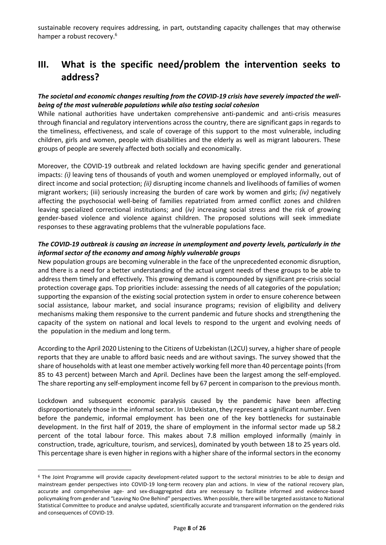sustainable recovery requires addressing, in part, outstanding capacity challenges that may otherwise hamper a robust recovery.<sup>6</sup>

### **III. What is the specific need/problem the intervention seeks to address?**

#### *The societal and economic changes resulting from the COVID-19 crisis have severely impacted the wellbeing of the most vulnerable populations while also testing social cohesion*

While national authorities have undertaken comprehensive anti-pandemic and anti-crisis measures through financial and regulatory interventions across the country, there are significant gaps in regards to the timeliness, effectiveness, and scale of coverage of this support to the most vulnerable, including children, girls and women, people with disabilities and the elderly as well as migrant labourers. These groups of people are severely affected both socially and economically.

Moreover, the COVID-19 outbreak and related lockdown are having specific gender and generational impacts: *(i)* leaving tens of thousands of youth and women unemployed or employed informally, out of direct income and social protection; *(ii)* disrupting income channels and livelihoods of families of women migrant workers; (iii) seriously increasing the burden of care work by women and girls; *(iv)* negatively affecting the psychosocial well-being of families repatriated from armed conflict zones and children leaving specialized correctional institutions; and (*iv)* increasing social stress and the risk of growing gender-based violence and violence against children. The proposed solutions will seek immediate responses to these aggravating problems that the vulnerable populations face.

#### *The COVID-19 outbreak is causing an increase in unemployment and poverty levels, particularly in the informal sector of the economy and among highly vulnerable groups*

New population groups are becoming vulnerable in the face of the unprecedented economic disruption, and there is a need for a better understanding of the actual urgent needs of these groups to be able to address them timely and effectively. This growing demand is compounded by significant pre-crisis social protection coverage gaps. Top priorities include: assessing the needs of all categories of the population; supporting the expansion of the existing social protection system in order to ensure coherence between social assistance, labour market, and social insurance programs; revision of eligibility and delivery mechanisms making them responsive to the current pandemic and future shocks and strengthening the capacity of the system on national and local levels to respond to the urgent and evolving needs of the population in the medium and long term.

According to the April 2020 Listening to the Citizens of Uzbekistan (L2CU) survey, a higher share of people reports that they are unable to afford basic needs and are without savings. The survey showed that the share of households with at least one member actively working fell more than 40 percentage points (from 85 to 43 percent) between March and April. Declines have been the largest among the self-employed. The share reporting any self-employment income fell by 67 percent in comparison to the previous month.

Lockdown and subsequent economic paralysis caused by the pandemic have been affecting disproportionately those in the informal sector. In Uzbekistan, they represent a significant number. Even before the pandemic, informal employment has been one of the key bottlenecks for sustainable development. In the first half of 2019, the share of employment in the informal sector made up 58.2 percent of the total labour force. This makes about 7.8 million employed informally (mainly in construction, trade, agriculture, tourism, and services), dominated by youth between 18 to 25 years old. This percentage share is even higher in regions with a higher share of the informal sectors in the economy

<sup>6</sup> The Joint Programme will provide capacity development-related support to the sectoral ministries to be able to design and mainstream gender perspectives into COVID-19 long-term recovery plan and actions. In view of the national recovery plan, accurate and comprehensive age- and sex-disaggregated data are necessary to facilitate informed and evidence-based policymaking from gender and "Leaving No One Behind" perspectives. When possible, there will be targeted assistance to National Statistical Committee to produce and analyse updated, scientifically accurate and transparent information on the gendered risks and consequences of COVID-19.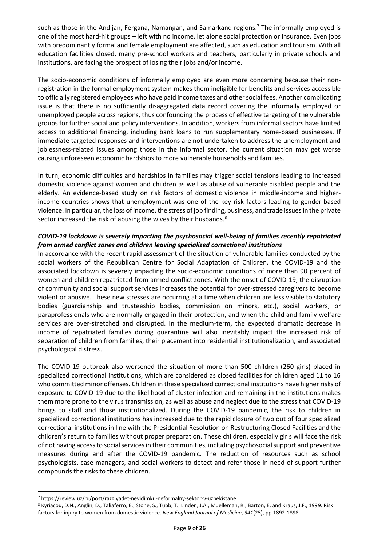such as those in the Andijan, Fergana, Namangan, and Samarkand regions.<sup>7</sup> The informally employed is one of the most hard-hit groups – left with no income, let alone social protection or insurance. Even jobs with predominantly formal and female employment are affected, such as education and tourism. With all education facilities closed, many pre-school workers and teachers, particularly in private schools and institutions, are facing the prospect of losing their jobs and/or income.

The socio-economic conditions of informally employed are even more concerning because their nonregistration in the formal employment system makes them ineligible for benefits and services accessible to officially registered employees who have paid income taxes and other social fees. Another complicating issue is that there is no sufficiently disaggregated data record covering the informally employed or unemployed people across regions, thus confounding the process of effective targeting of the vulnerable groups for further social and policy interventions. In addition, workers from informal sectors have limited access to additional financing, including bank loans to run supplementary home-based businesses. If immediate targeted responses and interventions are not undertaken to address the unemployment and joblessness-related issues among those in the informal sector, the current situation may get worse causing unforeseen economic hardships to more vulnerable households and families.

In turn, economic difficulties and hardships in families may trigger social tensions leading to increased domestic violence against women and children as well as abuse of vulnerable disabled people and the elderly. An evidence-based study on risk factors of domestic violence in middle-income and higherincome countries shows that unemployment was one of the key risk factors leading to gender-based violence. In particular, the loss of income, the stress of job finding, business, and trade issues in the private sector increased the risk of abusing the wives by their husbands.<sup>8</sup>

#### *COVID-19 lockdown is severely impacting the psychosocial well-being of families recently repatriated from armed conflict zones and children leaving specialized correctional institutions*

In accordance with the recent rapid assessment of the situation of vulnerable families conducted by the social workers of the Republican Centre for Social Adaptation of Children, the COVID-19 and the associated lockdown is severely impacting the socio-economic conditions of more than 90 percent of women and children repatriated from armed conflict zones. With the onset of COVID-19, the disruption of community and social support services increases the potential for over-stressed caregivers to become violent or abusive. These new stresses are occurring at a time when children are less visible to statutory bodies (guardianship and trusteeship bodies, commission on minors, etc.), social workers, or paraprofessionals who are normally engaged in their protection, and when the child and family welfare services are over-stretched and disrupted. In the medium-term, the expected dramatic decrease in income of repatriated families during quarantine will also inevitably impact the increased risk of separation of children from families, their placement into residential institutionalization, and associated psychological distress.

The COVID-19 outbreak also worsened the situation of more than 500 children (260 girls) placed in specialized correctional institutions, which are considered as closed facilities for children aged 11 to 16 who committed minor offenses. Children in these specialized correctional institutions have higher risks of exposure to COVID-19 due to the likelihood of cluster infection and remaining in the institutions makes them more prone to the virus transmission, as well as abuse and neglect due to the stress that COVID-19 brings to staff and those institutionalized. During the COVID-19 pandemic, the risk to children in specialized correctional institutions has increased due to the rapid closure of two out of four specialized correctional institutions in line with the Presidential Resolution on Restructuring Closed Facilities and the children's return to families without proper preparation. These children, especially girls will face the risk of not having access to social services in their communities, including psychosocial support and preventive measures during and after the COVID-19 pandemic. The reduction of resources such as school psychologists, case managers, and social workers to detect and refer those in need of support further compounds the risks to these children.

<sup>7</sup> https://review.uz/ru/post/razglyadet-nevidimku-neformalny-sektor-v-uzbekistane

<sup>8</sup> Kyriacou, D.N., Anglin, D., Taliaferro, E., Stone, S., Tubb, T., Linden, J.A., Muelleman, R., Barton, E. and Kraus, J.F., 1999. Risk factors for injury to women from domestic violence. *New England Journal of Medicine*, *341*(25), pp.1892-1898.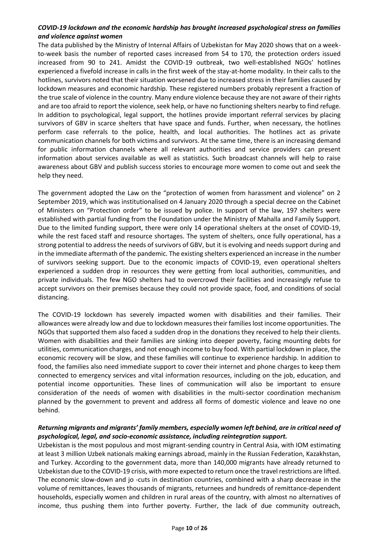#### *COVID-19 lockdown and the economic hardship has brought increased psychological stress on families and violence against women*

The data published by the Ministry of Internal Affairs of Uzbekistan for May 2020 shows that on a weekto-week basis the number of reported cases increased from 54 to 170, the protection orders issued increased from 90 to 241. Amidst the COVID-19 outbreak, two well-established NGOs' hotlines experienced a fivefold increase in calls in the first week of the stay-at-home modality. In their calls to the hotlines, survivors noted that their situation worsened due to increased stress in their families caused by lockdown measures and economic hardship. These registered numbers probably represent a fraction of the true scale of violence in the country. Many endure violence because they are not aware of their rights and are too afraid to report the violence, seek help, or have no functioning shelters nearby to find refuge. In addition to psychological, legal support, the hotlines provide important referral services by placing survivors of GBV in scarce shelters that have space and funds. Further, when necessary, the hotlines perform case referrals to the police, health, and local authorities. The hotlines act as private communication channels for both victims and survivors. At the same time, there is an increasing demand for public information channels where all relevant authorities and service providers can present information about services available as well as statistics. Such broadcast channels will help to raise awareness about GBV and publish success stories to encourage more women to come out and seek the help they need.

The government adopted the Law on the "protection of women from harassment and violence" on 2 September 2019, which was institutionalised on 4 January 2020 through a special decree on the Cabinet of Ministers on "Protection order" to be issued by police. In support of the law, 197 shelters were established with partial funding from the Foundation under the Ministry of Mahalla and Family Support. Due to the limited funding support, there were only 14 operational shelters at the onset of COVID-19, while the rest faced staff and resource shortages. The system of shelters, once fully operational, has a strong potential to address the needs of survivors of GBV, but it is evolving and needs support during and in the immediate aftermath of the pandemic. The existing shelters experienced an increase in the number of survivors seeking support. Due to the economic impacts of COVID-19, even operational shelters experienced a sudden drop in resources they were getting from local authorities, communities, and private individuals. The few NGO shelters had to overcrowd their facilities and increasingly refuse to accept survivors on their premises because they could not provide space, food, and conditions of social distancing.

The COVID-19 lockdown has severely impacted women with disabilities and their families. Their allowances were already low and due to lockdown measures their families lost income opportunities. The NGOs that supported them also faced a sudden drop in the donations they received to help their clients. Women with disabilities and their families are sinking into deeper poverty, facing mounting debts for utilities, communication charges, and not enough income to buy food. With partial lockdown in place, the economic recovery will be slow, and these families will continue to experience hardship. In addition to food, the families also need immediate support to cover their internet and phone charges to keep them connected to emergency services and vital information resources, including on the job, education, and potential income opportunities. These lines of communication will also be important to ensure consideration of the needs of women with disabilities in the multi-sector coordination mechanism planned by the government to prevent and address all forms of domestic violence and leave no one behind.

#### *Returning migrants and migrants' family members, especially women left behind, are in critical need of psychological, legal, and socio-economic assistance, including reintegration support.*

Uzbekistan is the most populous and most migrant-sending country in Central Asia, with IOM estimating at least 3 million Uzbek nationals making earnings abroad, mainly in the Russian Federation, Kazakhstan, and Turkey. According to the government data, more than 140,000 migrants have already returned to Uzbekistan due to the COVID-19 crisis, with more expected to return once the travel restrictions are lifted. The economic slow-down and jo -cuts in destination countries, combined with a sharp decrease in the volume of remittances, leaves thousands of migrants, returnees and hundreds of remittance-dependent households, especially women and children in rural areas of the country, with almost no alternatives of income, thus pushing them into further poverty. Further, the lack of due community outreach,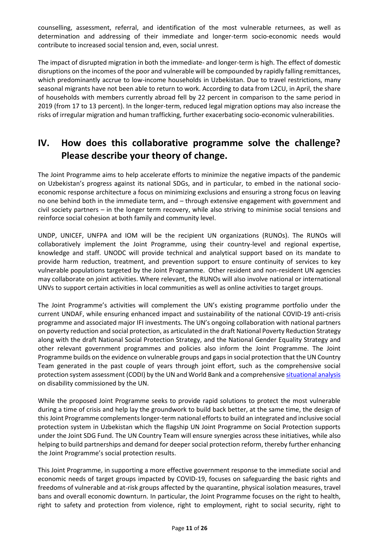counselling, assessment, referral, and identification of the most vulnerable returnees, as well as determination and addressing of their immediate and longer-term socio-economic needs would contribute to increased social tension and, even, social unrest.

The impact of disrupted migration in both the immediate- and longer-term is high. The effect of domestic disruptions on the incomes of the poor and vulnerable will be compounded by rapidly falling remittances, which predominantly accrue to low-income households in Uzbekistan. Due to travel restrictions, many seasonal migrants have not been able to return to work. According to data from L2CU, in April, the share of households with members currently abroad fell by 22 percent in comparison to the same period in 2019 (from 17 to 13 percent). In the longer-term, reduced legal migration options may also increase the risks of irregular migration and human trafficking, further exacerbating socio-economic vulnerabilities.

## **IV. How does this collaborative programme solve the challenge? Please describe your theory of change.**

The Joint Programme aims to help accelerate efforts to minimize the negative impacts of the pandemic on Uzbekistan's progress against its national SDGs, and in particular, to embed in the national socioeconomic response architecture a focus on minimizing exclusions and ensuring a strong focus on leaving no one behind both in the immediate term, and – through extensive engagement with government and civil society partners – in the longer term recovery, while also striving to minimise social tensions and reinforce social cohesion at both family and community level.

UNDP, UNICEF, UNFPA and IOM will be the recipient UN organizations (RUNOs). The RUNOs will collaboratively implement the Joint Programme, using their country-level and regional expertise, knowledge and staff. UNODC will provide technical and analytical support based on its mandate to provide harm reduction, treatment, and prevention support to ensure continuity of services to key vulnerable populations targeted by the Joint Programme. Other resident and non-resident UN agencies may collaborate on joint activities. Where relevant, the RUNOs will also involve national or international UNVs to support certain activities in local communities as well as online activities to target groups.

The Joint Programme's activities will complement the UN's existing programme portfolio under the current UNDAF, while ensuring enhanced impact and sustainability of the national COVID-19 anti-crisis programme and associated major IFI investments. The UN's ongoing collaboration with national partners on poverty reduction and social protection, as articulated in the draft National Poverty Reduction Strategy along with the draft National Social Protection Strategy, and the National Gender Equality Strategy and other relevant government programmes and policies also inform the Joint Programme. The Joint Programme builds on the evidence on vulnerable groups and gaps in social protection that the UN Country Team generated in the past couple of years through joint effort, such as the comprehensive social protection system assessment (CODI) by the UN and World Bank and a comprehensive [situational analysis](http://www.un.uz/files/UN%20Brief%20Report%20Disabilities/Brief_report_UN_en_UNColor.pdf) on disability commissioned by the UN.

While the proposed Joint Programme seeks to provide rapid solutions to protect the most vulnerable during a time of crisis and help lay the groundwork to build back better, at the same time, the design of this Joint Programme complements longer-term national efforts to build an integrated and inclusive social protection system in Uzbekistan which the flagship UN Joint Programme on Social Protection supports under the Joint SDG Fund. The UN Country Team will ensure synergies across these initiatives, while also helping to build partnerships and demand for deeper social protection reform, thereby further enhancing the Joint Programme's social protection results.

This Joint Programme, in supporting a more effective government response to the immediate social and economic needs of target groups impacted by COVID-19, focuses on safeguarding the basic rights and freedoms of vulnerable and at-risk groups affected by the quarantine, physical isolation measures, travel bans and overall economic downturn. In particular, the Joint Programme focuses on the right to health, right to safety and protection from violence, right to employment, right to social security, right to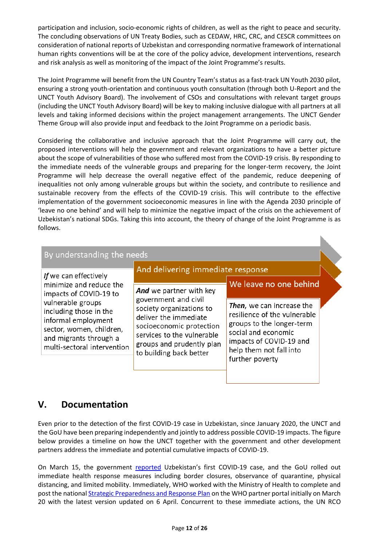participation and inclusion, socio-economic rights of children, as well as the right to peace and security. The concluding observations of UN Treaty Bodies, such as CEDAW, HRC, CRC, and CESCR committees on consideration of national reports of Uzbekistan and corresponding normative framework of international human rights conventions will be at the core of the policy advice, development interventions, research and risk analysis as well as monitoring of the impact of the Joint Programme's results.

The Joint Programme will benefit from the UN Country Team's status as a fast-track UN Youth 2030 pilot, ensuring a strong youth-orientation and continuous youth consultation (through both U-Report and the UNCT Youth Advisory Board). The involvement of CSOs and consultations with relevant target groups (including the UNCT Youth Advisory Board) will be key to making inclusive dialogue with all partners at all levels and taking informed decisions within the project management arrangements. The UNCT Gender Theme Group will also provide input and feedback to the Joint Programme on a periodic basis.

Considering the collaborative and inclusive approach that the Joint Programme will carry out, the proposed interventions will help the government and relevant organizations to have a better picture about the scope of vulnerabilities of those who suffered most from the COVID-19 crisis. By responding to the immediate needs of the vulnerable groups and preparing for the longer-term recovery, the Joint Programme will help decrease the overall negative effect of the pandemic, reduce deepening of inequalities not only among vulnerable groups but within the society, and contribute to resilience and sustainable recovery from the effects of the COVID-19 crisis. This will contribute to the effective implementation of the government socioeconomic measures in line with the Agenda 2030 principle of 'leave no one behind' and will help to minimize the negative impact of the crisis on the achievement of Uzbekistan's national SDGs. Taking this into account, the theory of change of the Joint Programme is as follows.

| By understanding the needs                                                                                                                              | And delivering immediate response                                                                                                                                                           |                                                                                                                                                                                        |  |  |
|---------------------------------------------------------------------------------------------------------------------------------------------------------|---------------------------------------------------------------------------------------------------------------------------------------------------------------------------------------------|----------------------------------------------------------------------------------------------------------------------------------------------------------------------------------------|--|--|
| If we can effectively<br>minimize and reduce the<br>impacts of COVID-19 to                                                                              | We leave no one behind<br>And we partner with key                                                                                                                                           |                                                                                                                                                                                        |  |  |
| vulnerable groups<br>including those in the<br>informal employment<br>sector, women, children,<br>and migrants through a<br>multi-sectoral intervention | government and civil<br>society organizations to<br>deliver the immediate<br>socioeconomic protection<br>services to the vulnerable<br>groups and prudently plan<br>to building back better | Then, we can increase the<br>resilience of the vulnerable<br>groups to the longer-term<br>social and economic<br>impacts of COVID-19 and<br>help them not fall into<br>further poverty |  |  |

### **V. Documentation**

Even prior to the detection of the first COVID-19 case in Uzbekistan, since January 2020, the UNCT and the GoU have been preparing independently and jointly to address possible COVID-19 impacts. The figure below provides a timeline on how the UNCT together with the government and other development partners address the immediate and potential cumulative impacts of COVID-19.

On March 15, the government [reported](https://uznews.uz/ru/article/19527) Uzbekistan's first COVID-19 case, and the GoU rolled out immediate health response measures including border closures, observance of quarantine, physical distancing, and limited mobility. Immediately, WHO worked with the Ministry of Health to complete and post the nationa[l Strategic Preparedness and Response Plan](https://www.dropbox.com/sh/vsy4uuydvdyyuq4/AABwv0LiVHaMCLpU0yj1WCgea?dl=0) on the WHO partner portal initially on March 20 with the latest version updated on 6 April. Concurrent to these immediate actions, the UN RCO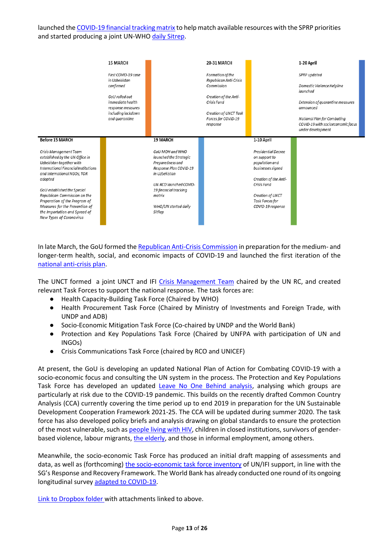launched th[e COVID-19 financial tracking matrix](https://www.dropbox.com/sh/vsy4uuydvdyyuq4/AABwv0LiVHaMCLpU0yj1WCgea?dl=0) to help match available resources with the SPRP priorities and started producing a joint UN-WH[O daily Sitrep.](http://www.un.uz/pages/display/publications)



In late March, the GoU formed th[e Republican Anti-Crisis Commission](https://lex.uz/docs/4770763) in preparation for the medium- and longer-term health, social, and economic impacts of COVID-19 and launched the first iteration of the [national anti-crisis plan.](https://www.mf.uz/home/o-ministerstve/press-sluzhba/minfin-news/5015.html)

The UNCT formed a joint UNCT and IFI [Crisis Management Team](https://www.dropbox.com/sh/vsy4uuydvdyyuq4/AABwv0LiVHaMCLpU0yj1WCgea?dl=0) chaired by the UN RC, and created relevant Task Forces to support the national response. The task forces are:

- Health Capacity-Building Task Force (Chaired by WHO)
- Health Procurement Task Force (Chaired by Ministry of Investments and Foreign Trade, with UNDP and ADB)
- Socio-Economic Mitigation Task Force (Co-chaired by UNDP and the World Bank)
- Protection and Key Populations Task Force (Chaired by UNFPA with participation of UN and INGOs)
- Crisis Communications Task Force (chaired by RCO and UNICEF)

At present, the GoU is developing an updated National Plan of Action for Combating COVID-19 with a socio-economic focus and consulting the UN system in the process. The Protection and Key Populations Task Force has developed an updated [Leave No One Behind analysis,](https://www.dropbox.com/scl/fi/3uku9ky358nvqphf4eyv0/LNOB-Covid19-UZB-Analysis-Protection-KP-TF-Ver1-Final-24April-2020.docx?dl=0&rlkey=cyw8lkccy6gzx0vwnregbgn8b) analysing which groups are particularly at risk due to the COVID-19 pandemic. This builds on the recently drafted Common Country Analysis (CCA) currently covering the time period up to end 2019 in preparation for the UN Sustainable Development Cooperation Framework 2021-25. The CCA will be updated during summer 2020. The task force has also developed policy briefs and analysis drawing on global standards to ensure the protection of the most vulnerable, such as [people living with HIV,](https://www.dropbox.com/sh/vsy4uuydvdyyuq4/AABwv0LiVHaMCLpU0yj1WCgea?dl=0) children in closed institutions, survivors of genderbased violence, labour migrants, [the elderly,](https://www.dropbox.com/sh/vsy4uuydvdyyuq4/AABwv0LiVHaMCLpU0yj1WCgea?dl=0) and those in informal employment, among others.

Meanwhile, the socio-economic Task Force has produced an initial draft mapping of assessments and data, as well as (forthcoming) [the socio-economic task force inventory](https://www.dropbox.com/s/uh02k6a6l823456/DRAFT%20Consolidated%20SocEcoTF%20Inventory%202020-04-21.xlsx?dl=0) of UN/IFI support, in line with the SG's Response and Recovery Framework. The World Bank has already conducted one round of its ongoing longitudinal survey [adapted to COVID-19.](https://www.dropbox.com/s/clvke62w3m5camp/Listening%20to%20the%20Citizens%20of%20Uzbekistan_COVID-19_APR_EN.pdf?dl=0)

[Link to Dropbox folder w](https://www.dropbox.com/sh/vsy4uuydvdyyuq4/AABwv0LiVHaMCLpU0yj1WCgea?dl=0)ith attachments linked to above.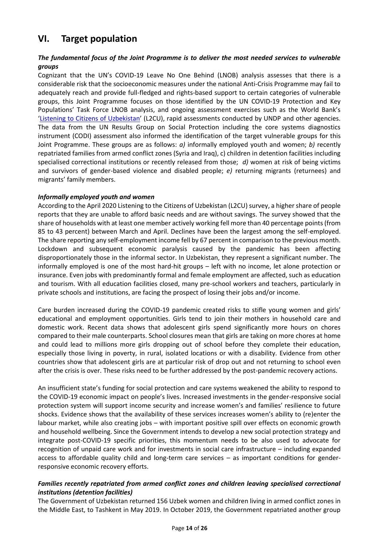### **VI. Target population**

#### *The fundamental focus of the Joint Programme is to deliver the most needed services to vulnerable groups*

Cognizant that the UN's COVID-19 Leave No One Behind (LNOB) analysis assesses that there is a considerable risk that the socioeconomic measures under the national Anti-Crisis Programme may fail to adequately reach and provide full-fledged and rights-based support to certain categories of vulnerable groups, this Joint Programme focuses on those identified by the UN COVID-19 Protection and Key Populations' Task Force LNOB analysis, and ongoing assessment exercises such as the World Bank's '[Listening to Citizens of Uzbekistan](https://www.worldbank.org/en/country/uzbekistan/brief/l2cu)' (L2CU), rapid assessments conducted by UNDP and other agencies. The data from the UN Results Group on Social Protection including the core systems diagnostics instrument (CODI) assessment also informed the identification of the target vulnerable groups for this Joint Programme. These groups are as follows: *a)* informally employed youth and women; *b)* recently repatriated families from armed conflict zones (Syria and Iraq), c) children in detention facilities including specialised correctional institutions or recently released from those; *d)* women at risk of being victims and survivors of gender-based violence and disabled people; *e)* returning migrants (returnees) and migrants' family members.

#### *Informally employed youth and women*

According to the April 2020 Listening to the Citizens of Uzbekistan (L2CU) survey, a higher share of people reports that they are unable to afford basic needs and are without savings. The survey showed that the share of households with at least one member actively working fell more than 40 percentage points (from 85 to 43 percent) between March and April. Declines have been the largest among the self-employed. The share reporting any self-employment income fell by 67 percent in comparison to the previous month. Lockdown and subsequent economic paralysis caused by the pandemic has been affecting disproportionately those in the informal sector. In Uzbekistan, they represent a significant number. The informally employed is one of the most hard-hit groups – left with no income, let alone protection or insurance. Even jobs with predominantly formal and female employment are affected, such as education and tourism. With all education facilities closed, many pre-school workers and teachers, particularly in private schools and institutions, are facing the prospect of losing their jobs and/or income.

Care burden increased during the COVID-19 pandemic created risks to stifle young women and girls' educational and employment opportunities. Girls tend to join their mothers in household care and domestic work. Recent data shows that adolescent girls spend significantly more hours on chores compared to their male counterparts. School closures mean that girls are taking on more chores at home and could lead to millions more girls dropping out of school before they complete their education, especially those living in poverty, in rural, isolated locations or with a disability. Evidence from other countries show that adolescent girls are at particular risk of drop out and not returning to school even after the crisis is over. These risks need to be further addressed by the post-pandemic recovery actions.

An insufficient state's funding for social protection and care systems weakened the ability to respond to the COVID-19 economic impact on people's lives. Increased investments in the gender-responsive social protection system will support income security and increase women's and families' resilience to future shocks. Evidence shows that the availability of these services increases women's ability to (re)enter the labour market, while also creating jobs – with important positive spill over effects on economic growth and household wellbeing. Since the Government intends to develop a new social protection strategy and integrate post-COVID-19 specific priorities, this momentum needs to be also used to advocate for recognition of unpaid care work and for investments in social care infrastructure – including expanded access to affordable quality child and long-term care services – as important conditions for genderresponsive economic recovery efforts.

#### *Families recently repatriated from armed conflict zones and children leaving specialised correctional institutions (detention facilities)*

The Government of Uzbekistan returned 156 Uzbek women and children living in armed conflict zones in the Middle East, to Tashkent in May 2019. In October 2019, the Government repatriated another group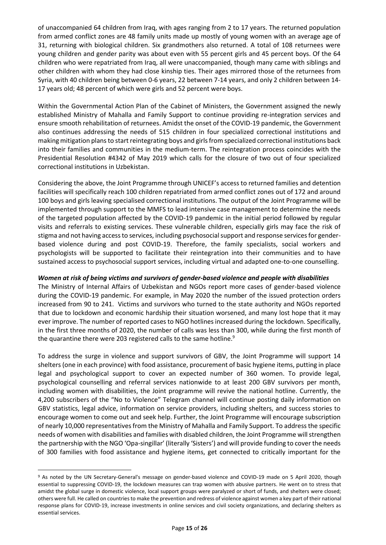of unaccompanied 64 children from Iraq, with ages ranging from 2 to 17 years. The returned population from armed conflict zones are 48 family units made up mostly of young women with an average age of 31, returning with biological children. Six grandmothers also returned. A total of 108 returnees were young children and gender parity was about even with 55 percent girls and 45 percent boys. Of the 64 children who were repatriated from Iraq, all were unaccompanied, though many came with siblings and other children with whom they had close kinship ties. Their ages mirrored those of the returnees from Syria, with 40 children being between 0-6 years, 22 between 7-14 years, and only 2 children between 14- 17 years old; 48 percent of which were girls and 52 percent were boys.

Within the Governmental Action Plan of the Cabinet of Ministers, the Government assigned the newly established Ministry of Mahalla and Family Support to continue providing re-integration services and ensure smooth rehabilitation of returnees. Amidst the onset of the COVID-19 pandemic, the Government also continues addressing the needs of 515 children in four specialized correctional institutions and making mitigation plans to start reintegrating boys and girls from specialized correctional institutions back into their families and communities in the medium-term. The reintegration process coincides with the Presidential Resolution #4342 of May 2019 which calls for the closure of two out of four specialized correctional institutions in Uzbekistan.

Considering the above, the Joint Programme through UNICEF's access to returned families and detention facilities will specifically reach 100 children repatriated from armed conflict zones out of 172 and around 100 boys and girls leaving specialised correctional institutions. The output of the Joint Programme will be implemented through support to the MMFS to lead intensive case management to determine the needs of the targeted population affected by the COVID-19 pandemic in the initial period followed by regular visits and referrals to existing services. These vulnerable children, especially girls may face the risk of stigma and not having access to services, including psychosocial support and response services for genderbased violence during and post COVID-19. Therefore, the family specialists, social workers and psychologists will be supported to facilitate their reintegration into their communities and to have sustained access to psychosocial support services, including virtual and adapted one-to-one counselling.

#### *Women at risk of being victims and survivors of gender-based violence and people with disabilities*

The Ministry of Internal Affairs of Uzbekistan and NGOs report more cases of gender-based violence during the COVID-19 pandemic. For example, in May 2020 the number of the issued protection orders increased from 90 to 241. Victims and survivors who turned to the state authority and NGOs reported that due to lockdown and economic hardship their situation worsened, and many lost hope that it may ever improve. The number of reported cases to NGO hotlines increased during the lockdown. Specifically, in the first three months of 2020, the number of calls was less than 300, while during the first month of the quarantine there were 203 registered calls to the same hotline.<sup>9</sup>

To address the surge in violence and support survivors of GBV, the Joint Programme will support 14 shelters (one in each province) with food assistance, procurement of basic hygiene items, putting in place legal and psychological support to cover an expected number of 360 women. To provide legal, psychological counselling and referral services nationwide to at least 200 GBV survivors per month, including women with disabilities, the Joint programme will revive the national hotline. Currently, the 4,200 subscribers of the "No to Violence" Telegram channel will continue posting daily information on GBV statistics, legal advice, information on service providers, including shelters, and success stories to encourage women to come out and seek help. Further, the Joint Programme will encourage subscription of nearly 10,000 representatives from the Ministry of Mahalla and Family Support. To address the specific needs of women with disabilities and families with disabled children, the Joint Programme will strengthen the partnership with the NGO 'Opa-singillar' (literally 'Sisters') and will provide funding to cover the needs of 300 families with food assistance and hygiene items, get connected to critically important for the

<sup>9</sup> As noted by the UN Secretary-General's message on gender-based violence and COVID-19 made on 5 April 2020, though essential to suppressing COVID-19, the lockdown measures can trap women with abusive partners. He went on to stress that amidst the global surge in domestic violence, local support groups were paralyzed or short of funds, and shelters were closed; others were full. He called on countries to make the prevention and redress of violence against women a key part of their national response plans for COVID-19, increase investments in online services and civil society organizations, and declaring shelters as essential services.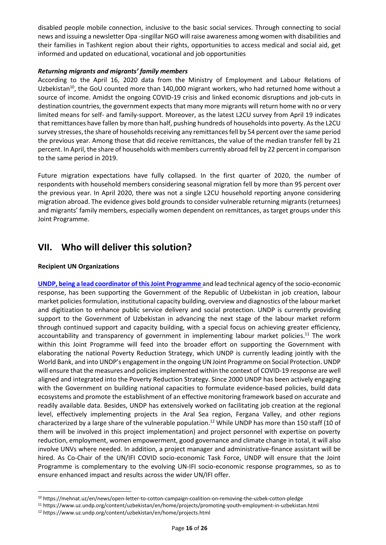disabled people mobile connection, inclusive to the basic social services. Through connecting to social news and issuing a newsletter Opa -singillar NGO will raise awareness among women with disabilities and their families in Tashkent region about their rights, opportunities to access medical and social aid, get informed and updated on educational, vocational and job opportunities

#### *Returning migrants and migrants' family members*

According to the April 16, 2020 data from the Ministry of Employment and Labour Relations of Uzbekistan<sup>10</sup>, the GoU counted more than 140,000 migrant workers, who had returned home without a source of income. Amidst the ongoing COVID-19 crisis and linked economic disruptions and job-cuts in destination countries, the government expects that many more migrants will return home with no or very limited means for self- and family-support. Moreover, as the latest L2CU survey from April 19 indicates that remittances have fallen by more than half, pushing hundreds of households into poverty. Asthe L2CU survey stresses, the share of households receiving any remittances fell by 54 percent over the same period the previous year. Among those that did receive remittances, the value of the median transfer fell by 21 percent. In April, the share of households with members currently abroad fell by 22 percent in comparison to the same period in 2019.

Future migration expectations have fully collapsed. In the first quarter of 2020, the number of respondents with household members considering seasonal migration fell by more than 95 percent over the previous year. In April 2020, there was not a single L2CU household reporting anyone considering migration abroad. The evidence gives bold grounds to consider vulnerable returning migrants (returnees) and migrants' family members, especially women dependent on remittances, as target groups under this Joint Programme.

### **VII. Who will deliver this solution?**

#### **Recipient UN Organizations**

**[UNDP,](https://www.uz.undp.org/content/uzbekistan/en/home.html) being a lead coordinator of this Joint Programme** and lead technical agency of the socio-economic response, has been supporting the Government of the Republic of Uzbekistan in job creation, labour market policies formulation, institutional capacity building, overview and diagnostics of the labour market and digitization to enhance public service delivery and social protection. UNDP is currently providing support to the Government of Uzbekistan in advancing the next stage of the labour market reform through continued support and capacity building, with a special focus on achieving greater efficiency, accountability and transparency of government in implementing labour market policies.<sup>11</sup> The work within this Joint Programme will feed into the broader effort on supporting the Government with elaborating the national Poverty Reduction Strategy, which UNDP is currently leading jointly with the World Bank, and into UNDP's engagement in the ongoing UN Joint Programme on Social Protection. UNDP will ensure that the measures and policies implemented within the context of COVID-19 response are well aligned and integrated into the Poverty Reduction Strategy. Since 2000 UNDP has been actively engaging with the Government on building national capacities to formulate evidence-based policies, build data ecosystems and promote the establishment of an effective monitoring framework based on accurate and readily available data. Besides, UNDP has extensively worked on facilitating job creation at the regional level, effectively implementing projects in the Aral Sea region, Fergana Valley, and other regions characterized by a large share of the vulnerable population.<sup>12</sup> While UNDP has more than 150 staff (10 of them will be involved in this project implementation) and project personnel with expertise on poverty reduction, employment, women empowerment, good governance and climate change in total, it will also involve UNVs where needed. In addition, a project manager and administrative-finance assistant will be hired. As Co-Chair of the UN/IFI COVID socio-economic Task Force, UNDP will ensure that the Joint Programme is complementary to the evolving UN-IFI socio-economic response programmes, so as to ensure enhanced impact and results across the wider UN/IFI offer.

<sup>10</sup> <https://mehnat.uz/en/news/open-letter-to-cotton-campaign-coalition-on-removing-the-uzbek-cotton-pledge>

<sup>11</sup> <https://www.uz.undp.org/content/uzbekistan/en/home/projects/promoting-youth-employment-in-uzbekistan.html>

<sup>12</sup> <https://www.uz.undp.org/content/uzbekistan/en/home/projects.html>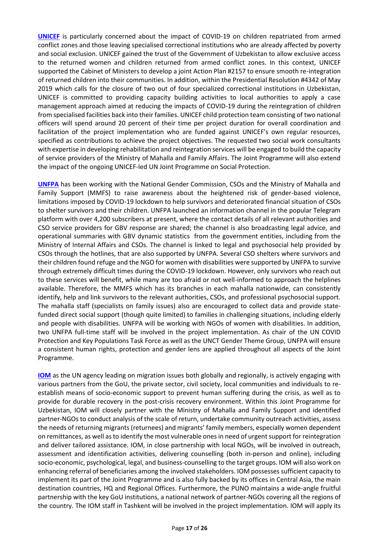**[UNICEF](https://www.unicef.org/uzbekistan/en)** is particularly concerned about the impact of COVID-19 on children repatriated from armed conflict zones and those leaving specialised correctional institutions who are already affected by poverty and social exclusion. UNICEF gained the trust of the Government of Uzbekistan to allow exclusive access to the returned women and children returned from armed conflict zones. In this context, UNICEF supported the Cabinet of Ministers to develop a joint Action Plan #2157 to ensure smooth re-integration of returned children into their communities. In addition, within the Presidential Resolution #4342 of May 2019 which calls for the closure of two out of four specialized correctional institutions in Uzbekistan, UNICEF is committed to providing capacity building activities to local authorities to apply a case management approach aimed at reducing the impacts of COVID-19 during the reintegration of children from specialised facilities back into their families. UNICEF child protection team consisting of two national officers will spend around 20 percent of their time per project duration for overall coordination and facilitation of the project implementation who are funded against UNICEF's own regular resources, specified as contributions to achieve the project objectives. The requested two social work consultants with expertise in developing rehabilitation and reintegration services will be engaged to build the capacity of service providers of the Ministry of Mahalla and Family Affairs. The Joint Programme will also extend the impact of the ongoing UNICEF-led UN Joint Programme on Social Protection.

**[UNFPA](https://uzbekistan.unfpa.org/en)** has been working with the National Gender Commission, CSOs and the Ministry of Mahalla and Family Support (MMFS) to raise awareness about the heightened risk of gender-based violence, limitations imposed by COVID-19 lockdown to help survivors and deteriorated financial situation of CSOs to shelter survivors and their children. UNFPA launched an information channel in the popular Telegram platform with over 4,200 subscribers at present, where the contact details of all relevant authorities and CSO service providers for GBV response are shared; the channel is also broadcasting legal advice, and operational summaries with GBV dynamic statistics from the government entities, including from the Ministry of Internal Affairs and CSOs. The channel is linked to legal and psychosocial help provided by CSOs through the hotlines, that are also supported by UNFPA. Several CSO shelters where survivors and their children found refuge and the NGO for women with disabilities were supported by UNFPA to survive through extremely difficult times during the COVID-19 lockdown. However, only survivors who reach out to these services will benefit, while many are too afraid or not well-informed to approach the helplines available. Therefore, the MMFS which has its branches in each mahalla nationwide, can consistently identify, help and link survivors to the relevant authorities, CSOs, and professional psychosocial support. The mahalla staff (specialists on family issues) also are encouraged to collect data and provide statefunded direct social support (though quite limited) to families in challenging situations, including elderly and people with disabilities. UNFPA will be working with NGOs of women with disabilities. In addition, two UNFPA full-time staff will be involved in the project implementation. As chair of the UN COVID Protection and Key Populations Task Force as well as the UNCT Gender Theme Group, UNFPA will ensure a consistent human rights, protection and gender lens are applied throughout all aspects of the Joint Programme.

**[IOM](https://www.iom.int/countries/uzbekistan)** as the UN agency leading on migration issues both globally and regionally, is actively engaging with various partners from the GoU, the private sector, civil society, local communities and individuals to reestablish means of socio-economic support to prevent human suffering during the crisis, as well as to provide for durable recovery in the post-crisis recovery environment. Within this Joint Programme for Uzbekistan, IOM will closely partner with the Ministry of Mahalla and Family Support and identified partner-NGOs to conduct analysis of the scale of return, undertake community outreach activities, assess the needs of returning migrants (returnees) and migrants' family members, especially women dependent on remittances, as well as to identify the most vulnerable ones in need of urgent support for reintegration and deliver tailored assistance. IOM, in close partnership with local NGOs, will be involved in outreach, assessment and identification activities, delivering counselling (both in-person and online), including socio-economic, psychological, legal, and business-counselling to the target groups. IOM will also work on enhancing referral of beneficiaries among the involved stakeholders. IOM possesses sufficient capacity to implement its part of the Joint Programme and is also fully backed by its offices in Central Asia, the main destination countries, HQ and Regional Offices. Furthermore, the PUNO maintains a wide-angle fruitful partnership with the key GoU institutions, a national network of partner-NGOs covering all the regions of the country. The IOM staff in Tashkent will be involved in the project implementation. IOM will apply its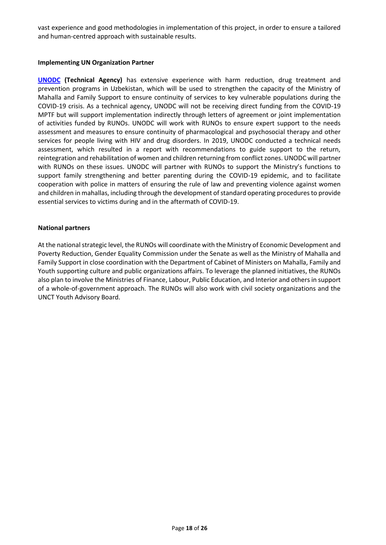vast experience and good methodologies in implementation of this project, in order to ensure a tailored and human-centred approach with sustainable results.

#### **Implementing UN Organization Partner**

**[UNODC](https://www.unodc.org/centralasia/index.html) (Technical Agency)** has extensive experience with harm reduction, drug treatment and prevention programs in Uzbekistan, which will be used to strengthen the capacity of the Ministry of Mahalla and Family Support to ensure continuity of services to key vulnerable populations during the COVID-19 crisis. As a technical agency, UNODC will not be receiving direct funding from the COVID-19 MPTF but will support implementation indirectly through letters of agreement or joint implementation of activities funded by RUNOs. UNODC will work with RUNOs to ensure expert support to the needs assessment and measures to ensure continuity of pharmacological and psychosocial therapy and other services for people living with HIV and drug disorders. In 2019, UNODC conducted a technical needs assessment, which resulted in a report with recommendations to guide support to the return, reintegration and rehabilitation of women and children returning from conflict zones. UNODC will partner with RUNOs on these issues. UNODC will partner with RUNOs to support the Ministry's functions to support family strengthening and better parenting during the COVID-19 epidemic, and to facilitate cooperation with police in matters of ensuring the rule of law and preventing violence against women and children in mahallas, including through the development of standard operating procedures to provide essential services to victims during and in the aftermath of COVID-19.

#### **National partners**

At the national strategic level, the RUNOs will coordinate with the Ministry of Economic Development and Poverty Reduction, Gender Equality Commission under the Senate as well as the Ministry of Mahalla and Family Support in close coordination with the Department of Cabinet of Ministers on Mahalla, Family and Youth supporting culture and public organizations affairs. To leverage the planned initiatives, the RUNOs also plan to involve the Ministries of Finance, Labour, Public Education, and Interior and others in support of a whole-of-government approach. The RUNOs will also work with civil society organizations and the UNCT Youth Advisory Board.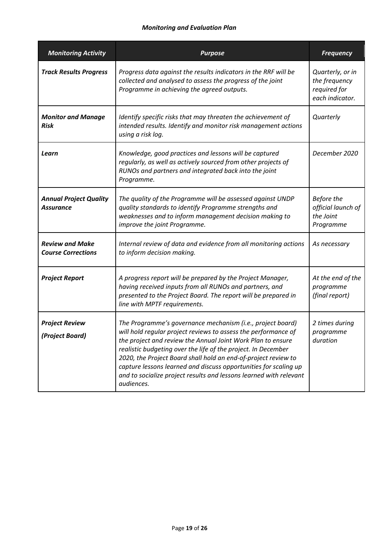#### *Monitoring and Evaluation Plan*

| <b>Monitoring Activity</b>                          | <b>Purpose</b>                                                                                                                                                                                                                                                                                                                                                                                                                                                                         | <b>Frequency</b>                                                     |
|-----------------------------------------------------|----------------------------------------------------------------------------------------------------------------------------------------------------------------------------------------------------------------------------------------------------------------------------------------------------------------------------------------------------------------------------------------------------------------------------------------------------------------------------------------|----------------------------------------------------------------------|
| <b>Track Results Progress</b>                       | Progress data against the results indicators in the RRF will be<br>collected and analysed to assess the progress of the joint<br>Programme in achieving the agreed outputs.                                                                                                                                                                                                                                                                                                            | Quarterly, or in<br>the frequency<br>required for<br>each indicator. |
| <b>Monitor and Manage</b><br>Risk                   | Identify specific risks that may threaten the achievement of<br>intended results. Identify and monitor risk management actions<br>using a risk log.                                                                                                                                                                                                                                                                                                                                    | Quarterly                                                            |
| Learn                                               | Knowledge, good practices and lessons will be captured<br>regularly, as well as actively sourced from other projects of<br>RUNOs and partners and integrated back into the joint<br>Programme.                                                                                                                                                                                                                                                                                         | December 2020                                                        |
| <b>Annual Project Quality</b><br><b>Assurance</b>   | The quality of the Programme will be assessed against UNDP<br>quality standards to identify Programme strengths and<br>weaknesses and to inform management decision making to<br>improve the joint Programme.                                                                                                                                                                                                                                                                          | Before the<br>official launch of<br>the Joint<br>Programme           |
| <b>Review and Make</b><br><b>Course Corrections</b> | Internal review of data and evidence from all monitoring actions<br>to inform decision making.                                                                                                                                                                                                                                                                                                                                                                                         | As necessary                                                         |
| <b>Project Report</b>                               | A progress report will be prepared by the Project Manager,<br>having received inputs from all RUNOs and partners, and<br>presented to the Project Board. The report will be prepared in<br>line with MPTF requirements.                                                                                                                                                                                                                                                                | At the end of the<br>programme<br>(final report)                     |
| <b>Project Review</b><br>(Project Board)            | The Programme's governance mechanism (i.e., project board)<br>will hold regular project reviews to assess the performance of<br>the project and review the Annual Joint Work Plan to ensure<br>realistic budgeting over the life of the project. In December<br>2020, the Project Board shall hold an end-of-project review to<br>capture lessons learned and discuss opportunities for scaling up<br>and to socialize project results and lessons learned with relevant<br>audiences. | 2 times during<br>programme<br>duration                              |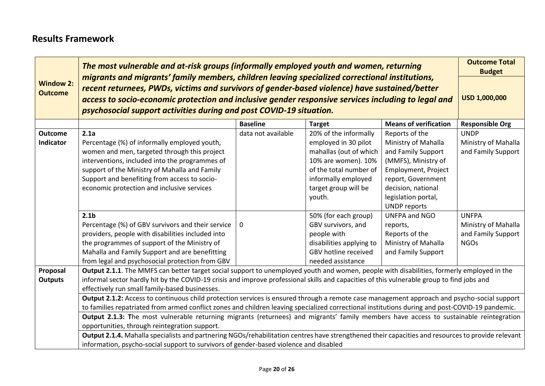### **Results Framework**

|                                    | The most vulnerable and at-risk groups (informally employed youth and women, returning                                                                                                                                                                                                                                                                                        |                    |                          |                              |                        |  |  |  |
|------------------------------------|-------------------------------------------------------------------------------------------------------------------------------------------------------------------------------------------------------------------------------------------------------------------------------------------------------------------------------------------------------------------------------|--------------------|--------------------------|------------------------------|------------------------|--|--|--|
| <b>Window 2:</b><br><b>Outcome</b> | migrants and migrants' family members, children leaving specialized correctional institutions,<br>recent returnees, PWDs, victims and survivors of gender-based violence) have sustained/better<br>access to socio-economic protection and inclusive gender responsive services including to legal and<br>psychosocial support activities during and post COVID-19 situation. |                    |                          |                              |                        |  |  |  |
|                                    |                                                                                                                                                                                                                                                                                                                                                                               | <b>Baseline</b>    | <b>Target</b>            | <b>Means of verification</b> | <b>Responsible Org</b> |  |  |  |
| <b>Outcome</b>                     | 2.1a                                                                                                                                                                                                                                                                                                                                                                          | data not available | 20% of the informally    | Reports of the               | <b>UNDP</b>            |  |  |  |
| <b>Indicator</b>                   | Percentage (%) of informally employed youth,                                                                                                                                                                                                                                                                                                                                  |                    | employed in 30 pilot     | Ministry of Mahalla          | Ministry of Mahalla    |  |  |  |
|                                    | women and men, targeted through this project                                                                                                                                                                                                                                                                                                                                  |                    | mahallas (out of which   | and Family Support           | and Family Support     |  |  |  |
|                                    | interventions, included into the programmes of                                                                                                                                                                                                                                                                                                                                |                    | 10% are women). 10%      | (MMFS), Ministry of          |                        |  |  |  |
|                                    | of the total number of<br>support of the Ministry of Mahalla and Family<br>Employment, Project                                                                                                                                                                                                                                                                                |                    |                          |                              |                        |  |  |  |
|                                    | Support and benefiting from access to socio-<br>informally employed<br>report, Government                                                                                                                                                                                                                                                                                     |                    |                          |                              |                        |  |  |  |
|                                    | economic protection and inclusive services                                                                                                                                                                                                                                                                                                                                    |                    | target group will be     | decision, national           |                        |  |  |  |
|                                    |                                                                                                                                                                                                                                                                                                                                                                               |                    | youth.                   | legislation portal,          |                        |  |  |  |
|                                    |                                                                                                                                                                                                                                                                                                                                                                               |                    |                          | <b>UNDP</b> reports          |                        |  |  |  |
|                                    | 2.1 <sub>b</sub>                                                                                                                                                                                                                                                                                                                                                              |                    | 50% (for each group)     | UNFPA and NGO                | <b>UNFPA</b>           |  |  |  |
|                                    | Percentage (%) of GBV survivors and their service                                                                                                                                                                                                                                                                                                                             | $\mathbf 0$        | GBV survivors, and       | reports,                     | Ministry of Mahalla    |  |  |  |
|                                    | providers, people with disabilities included into                                                                                                                                                                                                                                                                                                                             |                    | people with              | Reports of the               | and Family Support     |  |  |  |
|                                    | the programmes of support of the Ministry of                                                                                                                                                                                                                                                                                                                                  |                    | disabilities applying to | Ministry of Mahalla          | <b>NGOs</b>            |  |  |  |
|                                    | Mahalla and Family Support and are benefitting                                                                                                                                                                                                                                                                                                                                |                    | GBV hotline received     | and Family Support           |                        |  |  |  |
|                                    | from legal and psychosocial protection from GBV                                                                                                                                                                                                                                                                                                                               |                    | needed assistance        |                              |                        |  |  |  |
| Proposal                           | Output 2.1.1. The MMFS can better target social support to unemployed youth and women, people with disabilities, formerly employed in the                                                                                                                                                                                                                                     |                    |                          |                              |                        |  |  |  |
| <b>Outputs</b>                     | informal sector hardly hit by the COVID-19 crisis and improve professional skills and capacities of this vulnerable group to find jobs and                                                                                                                                                                                                                                    |                    |                          |                              |                        |  |  |  |
|                                    | effectively run small family-based businesses.<br>Output 2.1.2: Access to continuous child protection services is ensured through a remote case management approach and psycho-social support                                                                                                                                                                                 |                    |                          |                              |                        |  |  |  |
|                                    | to families repatriated from armed conflict zones and children leaving specialized correctional institutions during and post-COVID-19 pandemic.                                                                                                                                                                                                                               |                    |                          |                              |                        |  |  |  |
|                                    | Output 2.1.3: The most vulnerable returning migrants (returnees) and migrants' family members have access to sustainable reintegration                                                                                                                                                                                                                                        |                    |                          |                              |                        |  |  |  |
|                                    | opportunities, through reintegration support.                                                                                                                                                                                                                                                                                                                                 |                    |                          |                              |                        |  |  |  |
|                                    | Output 2.1.4. Mahalla specialists and partnering NGOs/rehabilitation centres have strengthened their capacities and resources to provide relevant<br>information, psycho-social support to survivors of gender-based violence and disabled                                                                                                                                    |                    |                          |                              |                        |  |  |  |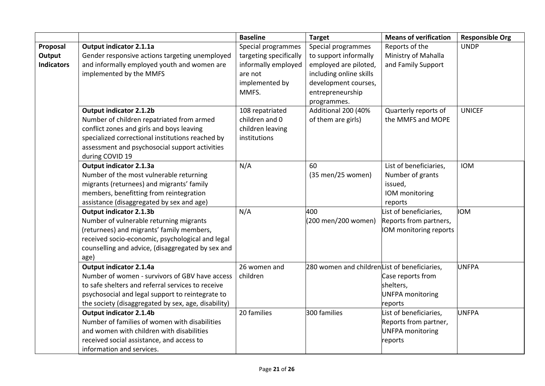|                                         |                                                                                                                                                                                                                                                   | <b>Baseline</b>                                                                                           | <b>Target</b>                                                                                                                                              | <b>Means of verification</b>                                                          | <b>Responsible Org</b> |
|-----------------------------------------|---------------------------------------------------------------------------------------------------------------------------------------------------------------------------------------------------------------------------------------------------|-----------------------------------------------------------------------------------------------------------|------------------------------------------------------------------------------------------------------------------------------------------------------------|---------------------------------------------------------------------------------------|------------------------|
| Proposal<br>Output<br><b>Indicators</b> | <b>Output indicator 2.1.1a</b><br>Gender responsive actions targeting unemployed<br>and informally employed youth and women are<br>implemented by the MMFS                                                                                        | Special programmes<br>targeting specifically<br>informally employed<br>are not<br>implemented by<br>MMFS. | Special programmes<br>to support informally<br>employed are piloted,<br>including online skills<br>development courses,<br>entrepreneurship<br>programmes. | Reports of the<br>Ministry of Mahalla<br>and Family Support                           | <b>UNDP</b>            |
|                                         | <b>Output indicator 2.1.2b</b><br>Number of children repatriated from armed<br>conflict zones and girls and boys leaving<br>specialized correctional institutions reached by<br>assessment and psychosocial support activities<br>during COVID 19 | 108 repatriated<br>children and 0<br>children leaving<br>institutions                                     | Additional 200 (40%<br>of them are girls)                                                                                                                  | Quarterly reports of<br>the MMFS and MOPE                                             | <b>UNICEF</b>          |
|                                         | <b>Output indicator 2.1.3a</b><br>Number of the most vulnerable returning<br>migrants (returnees) and migrants' family<br>members, benefitting from reintegration<br>assistance (disaggregated by sex and age)                                    | N/A                                                                                                       | 60<br>(35 men/25 women)                                                                                                                                    | List of beneficiaries,<br>Number of grants<br>issued,<br>IOM monitoring<br>reports    | <b>IOM</b>             |
|                                         | Output indicator 2.1.3b<br>Number of vulnerable returning migrants<br>(returnees) and migrants' family members,<br>received socio-economic, psychological and legal<br>counselling and advice, (disaggregated by sex and<br>age)                  | N/A                                                                                                       | 400<br>(200 men/200 women)                                                                                                                                 | List of beneficiaries,<br>Reports from partners,<br>IOM monitoring reports            | <b>IOM</b>             |
|                                         | <b>Output indicator 2.1.4a</b><br>Number of women - survivors of GBV have access<br>to safe shelters and referral services to receive<br>psychosocial and legal support to reintegrate to<br>the society (disaggregated by sex, age, disability)  | 26 women and<br>children                                                                                  | 280 women and childrenList of beneficiaries,                                                                                                               | Case reports from<br>shelters,<br><b>UNFPA</b> monitoring<br>reports                  | <b>UNFPA</b>           |
|                                         | Output indicator 2.1.4b<br>Number of families of women with disabilities<br>and women with children with disabilities<br>received social assistance, and access to<br>information and services.                                                   | 20 families                                                                                               | 300 families                                                                                                                                               | List of beneficiaries,<br>Reports from partner,<br><b>UNFPA</b> monitoring<br>reports | UNFPA                  |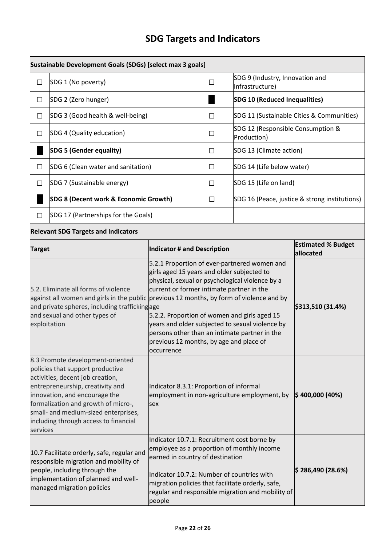# **SDG Targets and Indicators**

|                                                                                                                                                                                                                                    | Sustainable Development Goals (SDGs) [select max 3 goals]                                                                                                                                                                                                                                             |                                                                                                |                                                                                                                                                                                                                                                                                                                                                                                           |                                                                                                                                                                                                     |                                               |  |
|------------------------------------------------------------------------------------------------------------------------------------------------------------------------------------------------------------------------------------|-------------------------------------------------------------------------------------------------------------------------------------------------------------------------------------------------------------------------------------------------------------------------------------------------------|------------------------------------------------------------------------------------------------|-------------------------------------------------------------------------------------------------------------------------------------------------------------------------------------------------------------------------------------------------------------------------------------------------------------------------------------------------------------------------------------------|-----------------------------------------------------------------------------------------------------------------------------------------------------------------------------------------------------|-----------------------------------------------|--|
| $\Box$                                                                                                                                                                                                                             | SDG 1 (No poverty)                                                                                                                                                                                                                                                                                    | $\Box$                                                                                         | SDG 9 (Industry, Innovation and<br>Infrastructure)                                                                                                                                                                                                                                                                                                                                        |                                                                                                                                                                                                     |                                               |  |
| $\Box$                                                                                                                                                                                                                             | SDG 2 (Zero hunger)                                                                                                                                                                                                                                                                                   |                                                                                                | <b>SDG 10 (Reduced Inequalities)</b>                                                                                                                                                                                                                                                                                                                                                      |                                                                                                                                                                                                     |                                               |  |
| □                                                                                                                                                                                                                                  | SDG 3 (Good health & well-being)                                                                                                                                                                                                                                                                      |                                                                                                | П                                                                                                                                                                                                                                                                                                                                                                                         |                                                                                                                                                                                                     | SDG 11 (Sustainable Cities & Communities)     |  |
| □                                                                                                                                                                                                                                  | SDG 4 (Quality education)                                                                                                                                                                                                                                                                             |                                                                                                | ப                                                                                                                                                                                                                                                                                                                                                                                         | SDG 12 (Responsible Consumption &<br>Production)                                                                                                                                                    |                                               |  |
|                                                                                                                                                                                                                                    | <b>SDG 5 (Gender equality)</b>                                                                                                                                                                                                                                                                        |                                                                                                | $\Box$                                                                                                                                                                                                                                                                                                                                                                                    | SDG 13 (Climate action)                                                                                                                                                                             |                                               |  |
| $\Box$                                                                                                                                                                                                                             | SDG 6 (Clean water and sanitation)                                                                                                                                                                                                                                                                    |                                                                                                | $\Box$                                                                                                                                                                                                                                                                                                                                                                                    | SDG 14 (Life below water)                                                                                                                                                                           |                                               |  |
| $\Box$                                                                                                                                                                                                                             | SDG 7 (Sustainable energy)                                                                                                                                                                                                                                                                            |                                                                                                | $\Box$                                                                                                                                                                                                                                                                                                                                                                                    | SDG 15 (Life on land)                                                                                                                                                                               |                                               |  |
|                                                                                                                                                                                                                                    | SDG 8 (Decent work & Economic Growth)                                                                                                                                                                                                                                                                 |                                                                                                | $\Box$                                                                                                                                                                                                                                                                                                                                                                                    |                                                                                                                                                                                                     | SDG 16 (Peace, justice & strong institutions) |  |
| $\Box$                                                                                                                                                                                                                             | SDG 17 (Partnerships for the Goals)                                                                                                                                                                                                                                                                   |                                                                                                |                                                                                                                                                                                                                                                                                                                                                                                           |                                                                                                                                                                                                     |                                               |  |
|                                                                                                                                                                                                                                    | <b>Relevant SDG Targets and Indicators</b>                                                                                                                                                                                                                                                            |                                                                                                |                                                                                                                                                                                                                                                                                                                                                                                           |                                                                                                                                                                                                     |                                               |  |
| <b>Target</b>                                                                                                                                                                                                                      |                                                                                                                                                                                                                                                                                                       | Indicator # and Description                                                                    |                                                                                                                                                                                                                                                                                                                                                                                           |                                                                                                                                                                                                     | <b>Estimated % Budget</b><br>allocated        |  |
| 5.2. Eliminate all forms of violence<br>against all women and girls in the public previous 12 months, by form of violence and by<br>and private spheres, including traffickingage<br>and sexual and other types of<br>exploitation |                                                                                                                                                                                                                                                                                                       | occurrence                                                                                     | 5.2.1 Proportion of ever-partnered women and<br>girls aged 15 years and older subjected to<br>physical, sexual or psychological violence by a<br>current or former intimate partner in the<br>5.2.2. Proportion of women and girls aged 15<br>years and older subjected to sexual violence by<br>persons other than an intimate partner in the<br>previous 12 months, by age and place of | \$313,510 (31.4%)                                                                                                                                                                                   |                                               |  |
| services                                                                                                                                                                                                                           | 8.3 Promote development-oriented<br>policies that support productive<br>activities, decent job creation,<br>entrepreneurship, creativity and<br>innovation, and encourage the<br>formalization and growth of micro-,<br>small- and medium-sized enterprises,<br>including through access to financial | Indicator 8.3.1: Proportion of informal<br>employment in non-agriculture employment, by<br>sex |                                                                                                                                                                                                                                                                                                                                                                                           |                                                                                                                                                                                                     | $ $400,000(40\%)$                             |  |
|                                                                                                                                                                                                                                    | 10.7 Facilitate orderly, safe, regular and<br>responsible migration and mobility of<br>people, including through the<br>implementation of planned and well-<br>managed migration policies                                                                                                             | people                                                                                         | earned in country of destination<br>Indicator 10.7.2: Number of countries with                                                                                                                                                                                                                                                                                                            | Indicator 10.7.1: Recruitment cost borne by<br>employee as a proportion of monthly income<br>migration policies that facilitate orderly, safe,<br>regular and responsible migration and mobility of | $\ket{\$ 286,490\ (28.6\%)}$                  |  |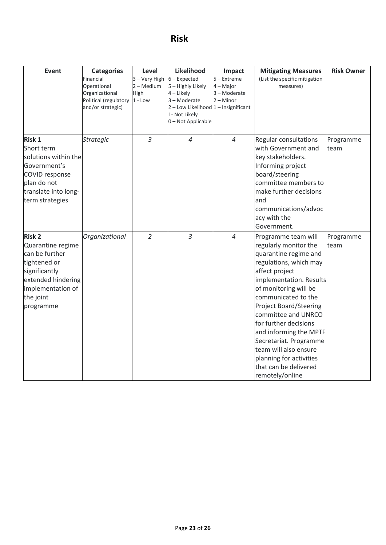### **Risk**

| <b>Event</b>                                                                                                                                               | <b>Categories</b><br>Financial<br>Operational<br>Organizational<br>Political (regulatory<br>and/or strategic) | Level<br>3 – Very High<br>2 – Medium<br>High<br>$1 - Low$ | Likelihood<br>$6$ – Expected<br>5 - Highly Likely<br>4 - Likely<br>3 - Moderate<br>2 - Low Likelihood 1 - Insignificant<br>1- Not Likely<br>0-Not Applicable | Impact<br>5 - Extreme<br>4 – Major<br>3 - Moderate<br>$2 -$ Minor | <b>Mitigating Measures</b><br>(List the specific mitigation<br>measures)                                                                                                                                                                                                                                                                                                                                                          | <b>Risk Owner</b> |
|------------------------------------------------------------------------------------------------------------------------------------------------------------|---------------------------------------------------------------------------------------------------------------|-----------------------------------------------------------|--------------------------------------------------------------------------------------------------------------------------------------------------------------|-------------------------------------------------------------------|-----------------------------------------------------------------------------------------------------------------------------------------------------------------------------------------------------------------------------------------------------------------------------------------------------------------------------------------------------------------------------------------------------------------------------------|-------------------|
| <b>Risk 1</b><br>Short term<br>solutions within the<br>Government's<br>COVID response<br>plan do not<br>translate into long-<br>term strategies            | <b>Strategic</b>                                                                                              | $\overline{3}$                                            | $\overline{4}$                                                                                                                                               | 4                                                                 | <b>Regular consultations</b><br>with Government and<br>key stakeholders.<br>Informing project<br>board/steering<br>committee members to<br>make further decisions<br>and<br>communications/advoc<br>acy with the<br>Government.                                                                                                                                                                                                   | Programme<br>team |
| <b>Risk 2</b><br>Quarantine regime<br>can be further<br>tightened or<br>significantly<br>extended hindering<br>implementation of<br>the joint<br>programme | Organizational                                                                                                | $\overline{2}$                                            | 3                                                                                                                                                            | $\overline{4}$                                                    | Programme team will<br>regularly monitor the<br>quarantine regime and<br>regulations, which may<br>affect project<br>implementation. Results<br>of monitoring will be<br>communicated to the<br><b>Project Board/Steering</b><br>committee and UNRCO<br>for further decisions<br>and informing the MPTF<br>Secretariat. Programme<br>team will also ensure<br>planning for activities<br>that can be delivered<br>remotely/online | Programme<br>team |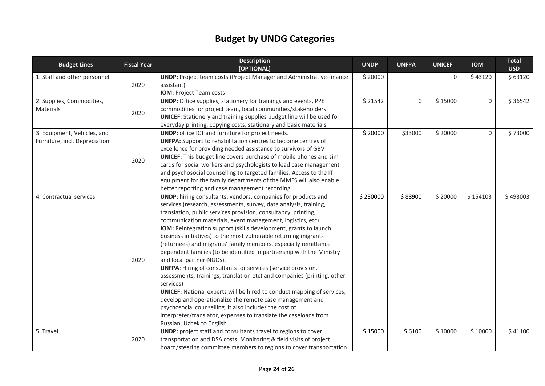# **Budget by UNDG Categories**

| <b>Budget Lines</b>           | <b>Fiscal Year</b> | <b>Description</b><br>[OPTIONAL]                                              | <b>UNDP</b> | <b>UNFPA</b> | <b>UNICEF</b> | <b>IOM</b>  | <b>Total</b><br><b>USD</b> |
|-------------------------------|--------------------|-------------------------------------------------------------------------------|-------------|--------------|---------------|-------------|----------------------------|
| 1. Staff and other personnel  |                    | <b>UNDP:</b> Project team costs (Project Manager and Administrative-finance   | \$20000     |              | $\Omega$      | \$43120     | \$63120                    |
|                               | 2020               | assistant)                                                                    |             |              |               |             |                            |
|                               |                    | IOM: Project Team costs                                                       |             |              |               |             |                            |
| 2. Supplies, Commodities,     |                    | <b>UNDP:</b> Office supplies, stationery for trainings and events, PPE        | \$21542     | $\mathsf{O}$ | \$15000       | 0           | \$36542                    |
| Materials                     | 2020               | commodities for project team, local communities/stakeholders                  |             |              |               |             |                            |
|                               |                    | <b>UNICEF:</b> Stationery and training supplies budget line will be used for  |             |              |               |             |                            |
|                               |                    | everyday printing, copying costs, stationary and basic materials              |             |              |               |             |                            |
| 3. Equipment, Vehicles, and   |                    | <b>UNDP:</b> office ICT and furniture for project needs.                      | \$20000     | \$33000      | \$20000       | $\mathbf 0$ | \$73000                    |
| Furniture, incl. Depreciation |                    | <b>UNFPA:</b> Support to rehabilitation centres to become centres of          |             |              |               |             |                            |
|                               |                    | excellence for providing needed assistance to survivors of GBV                |             |              |               |             |                            |
|                               | 2020               | <b>UNICEF:</b> This budget line covers purchase of mobile phones and sim      |             |              |               |             |                            |
|                               |                    | cards for social workers and psychologists to lead case management            |             |              |               |             |                            |
|                               |                    | and psychosocial counselling to targeted families. Access to the IT           |             |              |               |             |                            |
|                               |                    | equipment for the family departments of the MMFS will also enable             |             |              |               |             |                            |
|                               |                    | better reporting and case management recording.                               |             |              |               |             |                            |
| 4. Contractual services       |                    | UNDP: hiring consultants, vendors, companies for products and                 | \$230000    | \$88900      | \$20000       | \$154103    | \$493003                   |
|                               |                    | services (research, assessments, survey, data analysis, training,             |             |              |               |             |                            |
|                               |                    | translation, public services provision, consultancy, printing,                |             |              |               |             |                            |
|                               |                    | communication materials, event management, logistics, etc)                    |             |              |               |             |                            |
|                               |                    | IOM: Reintegration support (skills development, grants to launch              |             |              |               |             |                            |
|                               |                    | business initiatives) to the most vulnerable returning migrants               |             |              |               |             |                            |
|                               |                    | (returnees) and migrants' family members, especially remittance               |             |              |               |             |                            |
|                               |                    | dependent families (to be identified in partnership with the Ministry         |             |              |               |             |                            |
|                               | 2020               | and local partner-NGOs).                                                      |             |              |               |             |                            |
|                               |                    | <b>UNFPA:</b> Hiring of consultants for services (service provision,          |             |              |               |             |                            |
|                               |                    | assessments, trainings, translation etc) and companies (printing, other       |             |              |               |             |                            |
|                               |                    | services)                                                                     |             |              |               |             |                            |
|                               |                    | <b>UNICEF:</b> National experts will be hired to conduct mapping of services, |             |              |               |             |                            |
|                               |                    | develop and operationalize the remote case management and                     |             |              |               |             |                            |
|                               |                    | psychosocial counselling. It also includes the cost of                        |             |              |               |             |                            |
|                               |                    | interpreter/translator, expenses to translate the caseloads from              |             |              |               |             |                            |
|                               |                    | Russian, Uzbek to English.                                                    |             |              |               |             |                            |
| 5. Travel                     |                    | UNDP: project staff and consultants travel to regions to cover                | \$15000     | \$6100       | \$10000       | \$10000     | \$41100                    |
|                               | 2020               | transportation and DSA costs. Monitoring & field visits of project            |             |              |               |             |                            |
|                               |                    | board/steering committee members to regions to cover transportation           |             |              |               |             |                            |